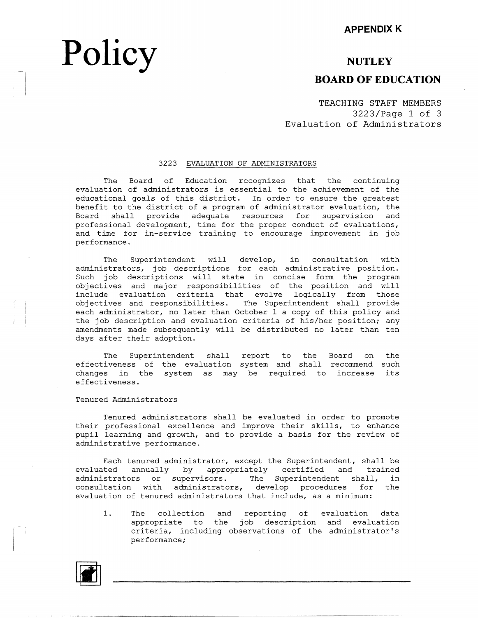# Policy NUTLEY

## **BOARD OF EDUCATION**

TEACHING STAFF MEMBERS 3223/Page 1 of 3 Evaluation of Administrators

### 3223 EVALUATION OF ADMINISTRATORS

The Board of Education recognizes that the continuing evaluation of administrators is essential to the achievement of the educational goals of this district. In order to ensure the greatest benefit to the district of a program of administrator evaluation, the Board shall provide adequate resources for supervision and professional development, time for the proper conduct of evaluations, and time for in-service training to encourage improvement in job performance.

The Superintendent will develop, in consultation with administrators, job descriptions for each administrative position. Such job descriptions will state in concise form the program objectives and major responsibilities of the position and will include evaluation criteria that evolve logically from those objectives and responsibilities. The Superintendent shall provide each administrator, no later than October 1 a copy of this policy and the job description and evaluation criteria of his/her position; any amendments made subsequently will be distributed no later than ten days after their adoption.

The Superintendent shall effectiveness of the evaluation system and shall recommend such changes in the system as may be required to increa effectiveness. report to the Board on the its

### Tenured Administrators

Tenured administrators shall be evaluated in order to promote their professional excellence and improve their skills, to enhance pupil learning and growth, and to provide a basis for the review of administrative performance.

Each tenured administrator, except the Superintendent, shall be evaluated annually by appropriately certified and trained administrators or supervisors. The Superintendent shall, in consultation with administrators, develop procedures for the evaluation of tenured administrators that include, as a minimum:

1. The collection and reporting of evaluation data appropriate to the job description and evaluation criteria, including observations of the administrator's performance;

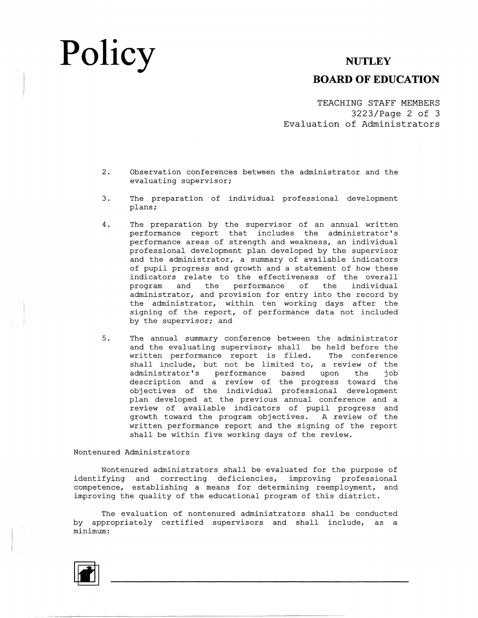# Policy NUTLEY

## **BOARD OF EDUCATION**

TEACHING STAFF MEMBERS 3223/Page 2 of 3 Evaluation of Administrators

- 2. Observation conferences between the administrator and the evaluating supervisor;
- 3. The preparation of individual professional development plans;
- 4. The preparation by the supervisor of an annual written performance report that includes the administrator's performance areas of strength and weakness, an individual professional development plan developed by the supervisor and the administrator, a summary of available indicators of pupil progress and growth and a statement of how these indicators relate to the effectiveness of the overall<br>program and the performance of the individual program and the performance of the individual administrator, and provision for entry into the record by the administrator, within ten working days after the signing of the report, of performance data not included by the supervisor; and
- 5. The annual summary conference between the administrator and the evaluating supervisor $\tau$  shall be held before the written performance report is filed. The conference shall include, but not be limited to, a review of the administrator's performance based upon the job administrator's performance based upon the job description and a review of the progress toward the objectives of the individual professional development plan developed at the previous annual conference and a review of available indicators of pupil progress and growth toward the program objectives. A review of the written performance report and the signing of the report shall be within five working days of the review.

### Nontenured Administrators

Nontenured administrators shall be evaluated for the purpose of identifying and correcting deficiencies, improving professional competence, establishing a means for determining reemployment, and improving the quality of the educational program of this district.

The evaluation of nontenured administrators shall be conducted by appropriately certified supervisors and shall include, as a minimum: